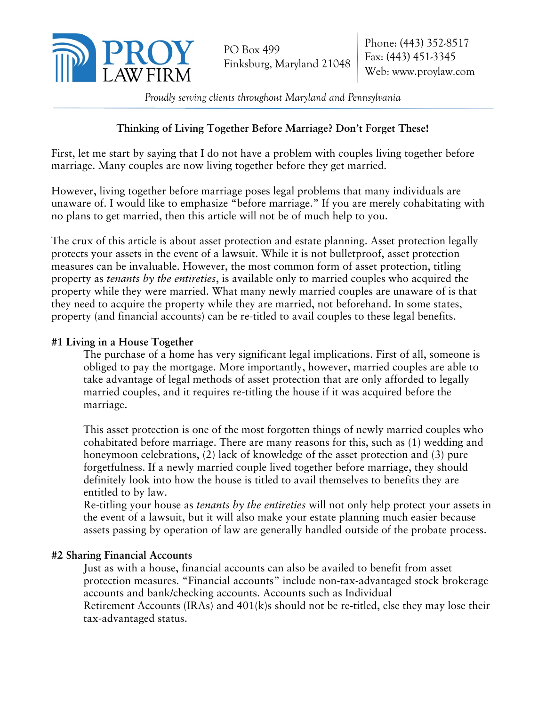

*Proudly serving clients throughout Maryland and Pennsylvania* 

# **Thinking of Living Together Before Marriage? Don't Forget These!**

First, let me start by saying that I do not have a problem with couples living together before marriage. Many couples are now living together before they get married.

However, living together before marriage poses legal problems that many individuals are unaware of. I would like to emphasize "before marriage." If you are merely cohabitating with no plans to get married, then this article will not be of much help to you.

The crux of this article is about asset protection and estate planning. Asset protection legally protects your assets in the event of a lawsuit. While it is not bulletproof, asset protection measures can be invaluable. However, the most common form of asset protection, titling property as *tenants by the entireties*, is available only to married couples who acquired the property while they were married. What many newly married couples are unaware of is that they need to acquire the property while they are married, not beforehand. In some states, property (and financial accounts) can be re-titled to avail couples to these legal benefits.

## **#1 Living in a House Together**

The purchase of a home has very significant legal implications. First of all, someone is obliged to pay the mortgage. More importantly, however, married couples are able to take advantage of legal methods of asset protection that are only afforded to legally married couples, and it requires re-titling the house if it was acquired before the marriage.

This asset protection is one of the most forgotten things of newly married couples who cohabitated before marriage. There are many reasons for this, such as (1) wedding and honeymoon celebrations, (2) lack of knowledge of the asset protection and (3) pure forgetfulness. If a newly married couple lived together before marriage, they should definitely look into how the house is titled to avail themselves to benefits they are entitled to by law.

Re‐titling your house as *tenants by the entireties* will not only help protect your assets in the event of a lawsuit, but it will also make your estate planning much easier because assets passing by operation of law are generally handled outside of the probate process.

## **#2 Sharing Financial Accounts**

Just as with a house, financial accounts can also be availed to benefit from asset protection measures. "Financial accounts" include non‐tax‐advantaged stock brokerage accounts and bank/checking accounts. Accounts such as Individual Retirement Accounts (IRAs) and  $401(k)$ s should not be re-titled, else they may lose their tax‐advantaged status.